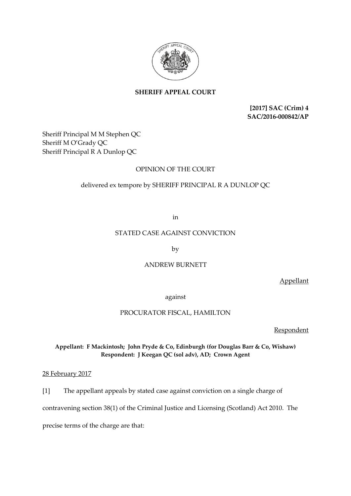

# **SHERIFF APPEAL COURT**

**[2017] SAC (Crim) 4 SAC/2016-000842/AP**

Sheriff Principal M M Stephen QC Sheriff M O'Grady QC Sheriff Principal R A Dunlop QC

# OPINION OF THE COURT

# delivered ex tempore by SHERIFF PRINCIPAL R A DUNLOP QC

in

## STATED CASE AGAINST CONVICTION

by

### ANDREW BURNETT

Appellant

against

### PROCURATOR FISCAL, HAMILTON

Respondent

# **Appellant: F Mackintosh; John Pryde & Co, Edinburgh (for Douglas Barr & Co, Wishaw) Respondent: J Keegan QC (sol adv), AD; Crown Agent**

28 February 2017

[1] The appellant appeals by stated case against conviction on a single charge of

contravening section 38(1) of the Criminal Justice and Licensing (Scotland) Act 2010. The

precise terms of the charge are that: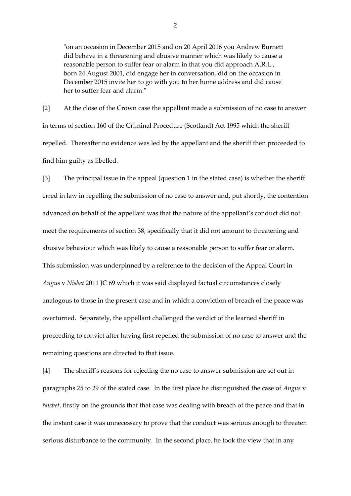"on an occasion in December 2015 and on 20 April 2016 you Andrew Burnett did behave in a threatening and abusive manner which was likely to cause a reasonable person to suffer fear or alarm in that you did approach A.R.L., born 24 August 2001, did engage her in conversation, did on the occasion in December 2015 invite her to go with you to her home address and did cause her to suffer fear and alarm."

[2] At the close of the Crown case the appellant made a submission of no case to answer in terms of section 160 of the Criminal Procedure (Scotland) Act 1995 which the sheriff repelled. Thereafter no evidence was led by the appellant and the sheriff then proceeded to find him guilty as libelled.

[3] The principal issue in the appeal (question 1 in the stated case) is whether the sheriff erred in law in repelling the submission of no case to answer and, put shortly, the contention advanced on behalf of the appellant was that the nature of the appellant's conduct did not meet the requirements of section 38, specifically that it did not amount to threatening and abusive behaviour which was likely to cause a reasonable person to suffer fear or alarm. This submission was underpinned by a reference to the decision of the Appeal Court in *Angus* v *Nisbet* 2011 JC 69 which it was said displayed factual circumstances closely analogous to those in the present case and in which a conviction of breach of the peace was overturned. Separately, the appellant challenged the verdict of the learned sheriff in proceeding to convict after having first repelled the submission of no case to answer and the remaining questions are directed to that issue.

[4] The sheriff's reasons for rejecting the no case to answer submission are set out in paragraphs 25 to 29 of the stated case. In the first place he distinguished the case of *Angus* v *Nisbet*, firstly on the grounds that that case was dealing with breach of the peace and that in the instant case it was unnecessary to prove that the conduct was serious enough to threaten serious disturbance to the community. In the second place, he took the view that in any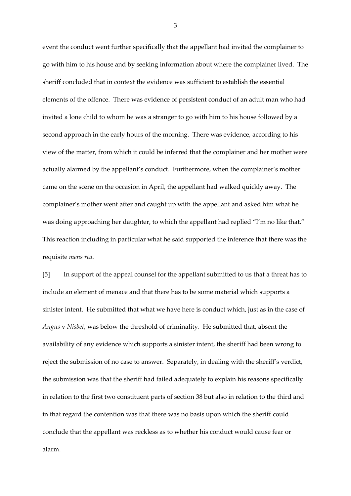event the conduct went further specifically that the appellant had invited the complainer to go with him to his house and by seeking information about where the complainer lived. The sheriff concluded that in context the evidence was sufficient to establish the essential elements of the offence. There was evidence of persistent conduct of an adult man who had invited a lone child to whom he was a stranger to go with him to his house followed by a second approach in the early hours of the morning. There was evidence, according to his view of the matter, from which it could be inferred that the complainer and her mother were actually alarmed by the appellant's conduct. Furthermore, when the complainer's mother came on the scene on the occasion in April, the appellant had walked quickly away. The complainer's mother went after and caught up with the appellant and asked him what he was doing approaching her daughter, to which the appellant had replied "I'm no like that." This reaction including in particular what he said supported the inference that there was the requisite *mens rea*.

[5] In support of the appeal counsel for the appellant submitted to us that a threat has to include an element of menace and that there has to be some material which supports a sinister intent. He submitted that what we have here is conduct which, just as in the case of *Angus* v *Nisbet*, was below the threshold of criminality. He submitted that, absent the availability of any evidence which supports a sinister intent, the sheriff had been wrong to reject the submission of no case to answer. Separately, in dealing with the sheriff's verdict, the submission was that the sheriff had failed adequately to explain his reasons specifically in relation to the first two constituent parts of section 38 but also in relation to the third and in that regard the contention was that there was no basis upon which the sheriff could conclude that the appellant was reckless as to whether his conduct would cause fear or alarm.

3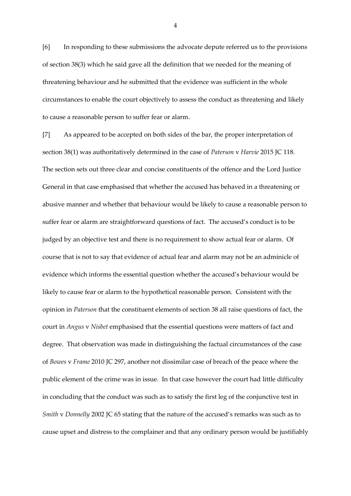[6] In responding to these submissions the advocate depute referred us to the provisions of section 38(3) which he said gave all the definition that we needed for the meaning of threatening behaviour and he submitted that the evidence was sufficient in the whole circumstances to enable the court objectively to assess the conduct as threatening and likely to cause a reasonable person to suffer fear or alarm.

[7] As appeared to be accepted on both sides of the bar, the proper interpretation of section 38(1) was authoritatively determined in the case of *Paterson* v *Harvie* 2015 JC 118. The section sets out three clear and concise constituents of the offence and the Lord Justice General in that case emphasised that whether the accused has behaved in a threatening or abusive manner and whether that behaviour would be likely to cause a reasonable person to suffer fear or alarm are straightforward questions of fact. The accused's conduct is to be judged by an objective test and there is no requirement to show actual fear or alarm. Of course that is not to say that evidence of actual fear and alarm may not be an adminicle of evidence which informs the essential question whether the accused's behaviour would be likely to cause fear or alarm to the hypothetical reasonable person. Consistent with the opinion in *Paterson* that the constituent elements of section 38 all raise questions of fact, the court in *Angus* v *Nisbet* emphasised that the essential questions were matters of fact and degree. That observation was made in distinguishing the factual circumstances of the case of *Bowes* v *Frame* 2010 JC 297, another not dissimilar case of breach of the peace where the public element of the crime was in issue. In that case however the court had little difficulty in concluding that the conduct was such as to satisfy the first leg of the conjunctive test in *Smith* v *Donnelly* 2002 JC 65 stating that the nature of the accused's remarks was such as to cause upset and distress to the complainer and that any ordinary person would be justifiably

4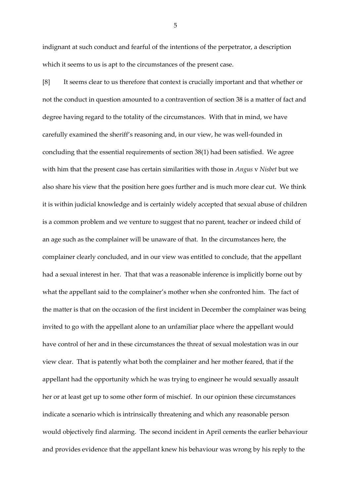indignant at such conduct and fearful of the intentions of the perpetrator, a description which it seems to us is apt to the circumstances of the present case.

[8] It seems clear to us therefore that context is crucially important and that whether or not the conduct in question amounted to a contravention of section 38 is a matter of fact and degree having regard to the totality of the circumstances. With that in mind, we have carefully examined the sheriff's reasoning and, in our view, he was well-founded in concluding that the essential requirements of section 38(1) had been satisfied. We agree with him that the present case has certain similarities with those in *Angus* v *Nisbet* but we also share his view that the position here goes further and is much more clear cut. We think it is within judicial knowledge and is certainly widely accepted that sexual abuse of children is a common problem and we venture to suggest that no parent, teacher or indeed child of an age such as the complainer will be unaware of that. In the circumstances here, the complainer clearly concluded, and in our view was entitled to conclude, that the appellant had a sexual interest in her. That that was a reasonable inference is implicitly borne out by what the appellant said to the complainer's mother when she confronted him. The fact of the matter is that on the occasion of the first incident in December the complainer was being invited to go with the appellant alone to an unfamiliar place where the appellant would have control of her and in these circumstances the threat of sexual molestation was in our view clear. That is patently what both the complainer and her mother feared, that if the appellant had the opportunity which he was trying to engineer he would sexually assault her or at least get up to some other form of mischief. In our opinion these circumstances indicate a scenario which is intrinsically threatening and which any reasonable person would objectively find alarming. The second incident in April cements the earlier behaviour and provides evidence that the appellant knew his behaviour was wrong by his reply to the

5